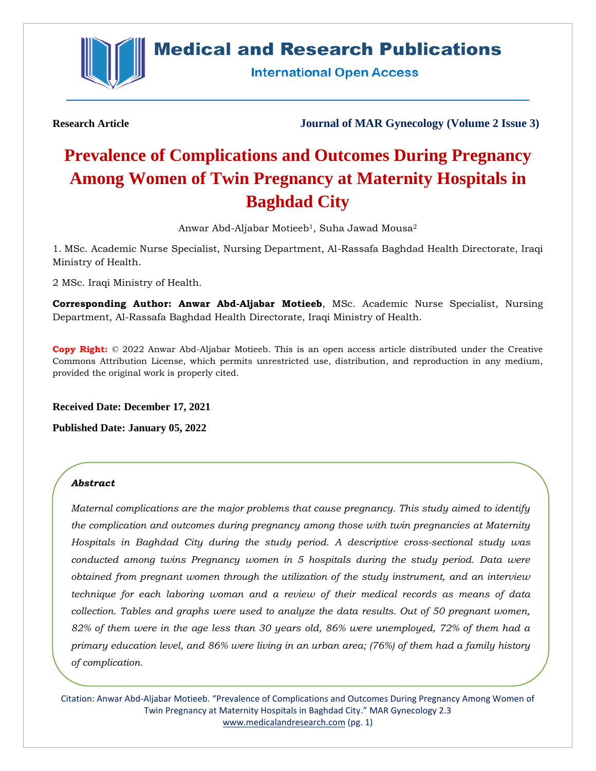

# **Medical and Research Publications**

**International Open Access** 

**Research Article Journal of MAR Gynecology (Volume 2 Issue 3)**

# **Prevalence of Complications and Outcomes During Pregnancy Among Women of Twin Pregnancy at Maternity Hospitals in Baghdad City**

Anwar Abd-Aljabar Motieeb<sup>1</sup>, Suha Jawad Mousa<sup>2</sup>

1. MSc. Academic Nurse Specialist, Nursing Department, Al-Rassafa Baghdad Health Directorate, Iraqi Ministry of Health.

2 MSc. Iraqi Ministry of Health.

**Corresponding Author: Anwar Abd-Aljabar Motieeb**, MSc. Academic Nurse Specialist, Nursing Department, Al-Rassafa Baghdad Health Directorate, Iraqi Ministry of Health.

**Copy Right:** © 2022 Anwar Abd-Aljabar Motieeb. This is an open access article distributed under the Creative Commons Attribution License, which permits unrestricted use, distribution, and reproduction in any medium, provided the original work is properly cited.

**Received Date: December 17, 2021**

**Published Date: January 05, 2022**

#### *Abstract*

*Maternal complications are the major problems that cause pregnancy. This study aimed to identify the complication and outcomes during pregnancy among those with twin pregnancies at Maternity Hospitals in Baghdad City during the study period. A descriptive cross-sectional study was conducted among twins Pregnancy women in 5 hospitals during the study period. Data were obtained from pregnant women through the utilization of the study instrument, and an interview technique for each laboring woman and a review of their medical records as means of data collection. Tables and graphs were used to analyze the data results. Out of 50 pregnant women, 82% of them were in the age less than 30 years old, 86% were unemployed, 72% of them had a primary education level, and 86% were living in an urban area; (76%) of them had a family history of complication.* 

Citation: Anwar Abd-Aljabar Motieeb. "Prevalence of Complications and Outcomes During Pregnancy Among Women of Twin Pregnancy at Maternity Hospitals in Baghdad City." MAR Gynecology 2.3 [www.medicalandresearch.com](http://www.medicalandresearch.com/) (pg. 1)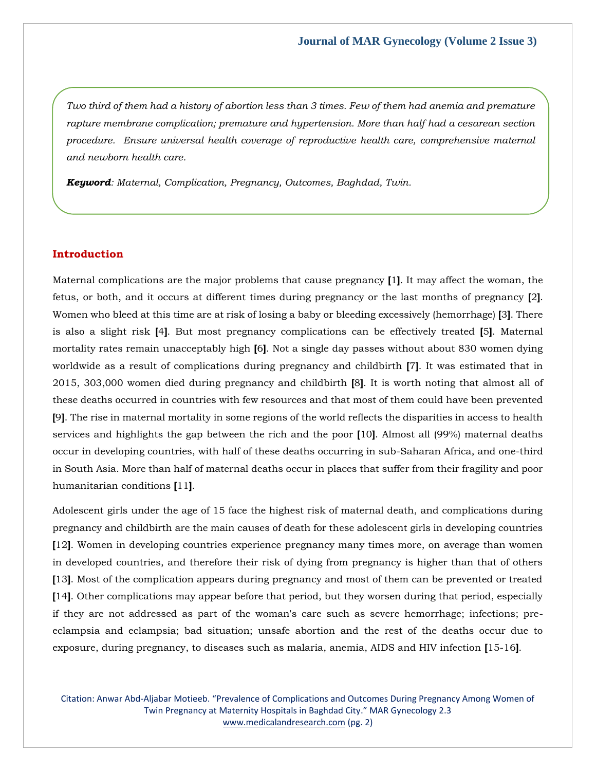*Two third of them had a history of abortion less than 3 times. Few of them had anemia and premature rapture membrane complication; premature and hypertension. More than half had a cesarean section procedure. Ensure universal health coverage of reproductive health care, comprehensive maternal and newborn health care.*

*Keyword: Maternal, Complication, Pregnancy, Outcomes, Baghdad, Twin.*

#### **Introduction**

Maternal complications are the major problems that cause pregnancy **[**1**]**. It may affect the woman, the fetus, or both, and it occurs at different times during pregnancy or the last months of pregnancy **[**2**]**. Women who bleed at this time are at risk of losing a baby or bleeding excessively (hemorrhage) **[**3**]**. There is also a slight risk **[**4**]**. But most pregnancy complications can be effectively treated **[**5**]**. Maternal mortality rates remain unacceptably high **[**6**]**. Not a single day passes without about 830 women dying worldwide as a result of complications during pregnancy and childbirth **[**7**]**. It was estimated that in 2015, 303,000 women died during pregnancy and childbirth **[**8**]**. It is worth noting that almost all of these deaths occurred in countries with few resources and that most of them could have been prevented **[**9**]**. The rise in maternal mortality in some regions of the world reflects the disparities in access to health services and highlights the gap between the rich and the poor **[**10**]**. Almost all (99%) maternal deaths occur in developing countries, with half of these deaths occurring in sub-Saharan Africa, and one-third in South Asia. More than half of maternal deaths occur in places that suffer from their fragility and poor humanitarian conditions **[**11**]**.

Adolescent girls under the age of 15 face the highest risk of maternal death, and complications during pregnancy and childbirth are the main causes of death for these adolescent girls in developing countries **[**12**]**. Women in developing countries experience pregnancy many times more, on average than women in developed countries, and therefore their risk of dying from pregnancy is higher than that of others **[**13**]**. Most of the complication appears during pregnancy and most of them can be prevented or treated **[**14**]**. Other complications may appear before that period, but they worsen during that period, especially if they are not addressed as part of the woman's care such as severe hemorrhage; infections; preeclampsia and eclampsia; bad situation; unsafe abortion and the rest of the deaths occur due to exposure, during pregnancy, to diseases such as malaria, anemia, AIDS and HIV infection **[**15-16**]**.

Citation: Anwar Abd-Aljabar Motieeb. "Prevalence of Complications and Outcomes During Pregnancy Among Women of Twin Pregnancy at Maternity Hospitals in Baghdad City." MAR Gynecology 2.3 [www.medicalandresearch.com](http://www.medicalandresearch.com/) (pg. 2)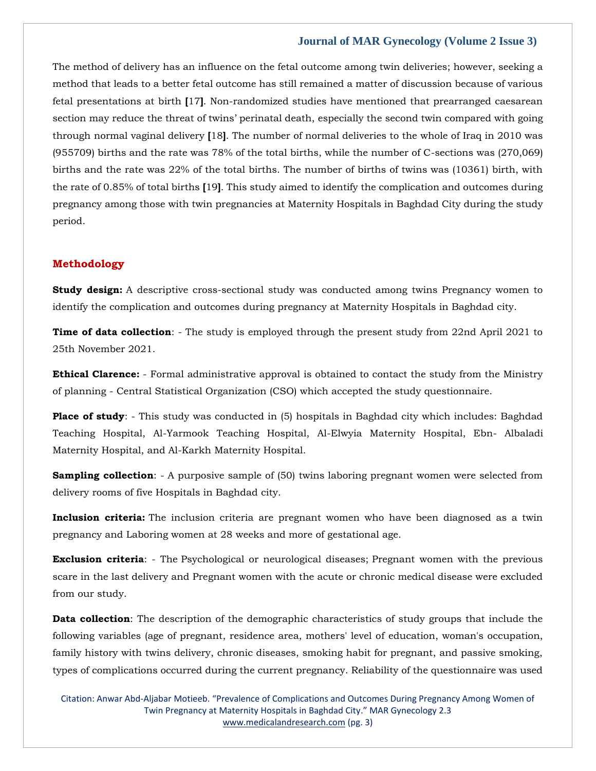The method of delivery has an influence on the fetal outcome among twin deliveries; however, seeking a method that leads to a better fetal outcome has still remained a matter of discussion because of various fetal presentations at birth **[**17**]**. Non-randomized studies have mentioned that prearranged caesarean section may reduce the threat of twins' perinatal death, especially the second twin compared with going through normal vaginal delivery **[**18**]**. The number of normal deliveries to the whole of Iraq in 2010 was (955709) births and the rate was 78% of the total births, while the number of C-sections was (270,069) births and the rate was 22% of the total births. The number of births of twins was (10361) birth, with the rate of 0.85% of total births **[**19**]**. This study aimed to identify the complication and outcomes during pregnancy among those with twin pregnancies at Maternity Hospitals in Baghdad City during the study period.

#### **Methodology**

**Study design:** A descriptive cross-sectional study was conducted among twins Pregnancy women to identify the complication and outcomes during pregnancy at Maternity Hospitals in Baghdad city.

**Time of data collection**: - The study is employed through the present study from 22nd April 2021 to 25th November 2021.

**Ethical Clarence:** - Formal administrative approval is obtained to contact the study from the Ministry of planning - Central Statistical Organization (CSO) which accepted the study questionnaire.

**Place of study**: - This study was conducted in (5) hospitals in Baghdad city which includes: Baghdad Teaching Hospital, Al-Yarmook Teaching Hospital, Al-Elwyia Maternity Hospital, Ebn- Albaladi Maternity Hospital, and Al-Karkh Maternity Hospital.

**Sampling collection**: - A purposive sample of (50) twins laboring pregnant women were selected from delivery rooms of five Hospitals in Baghdad city.

**Inclusion criteria:** The inclusion criteria are pregnant women who have been diagnosed as a twin pregnancy and Laboring women at 28 weeks and more of gestational age.

**Exclusion criteria**: - The Psychological or neurological diseases; Pregnant women with the previous scare in the last delivery and Pregnant women with the acute or chronic medical disease were excluded from our study.

**Data collection**: The description of the demographic characteristics of study groups that include the following variables (age of pregnant, residence area, mothers' level of education, woman's occupation, family history with twins delivery, chronic diseases, smoking habit for pregnant, and passive smoking, types of complications occurred during the current pregnancy. Reliability of the questionnaire was used

Citation: Anwar Abd-Aljabar Motieeb. "Prevalence of Complications and Outcomes During Pregnancy Among Women of Twin Pregnancy at Maternity Hospitals in Baghdad City." MAR Gynecology 2.3 [www.medicalandresearch.com](http://www.medicalandresearch.com/) (pg. 3)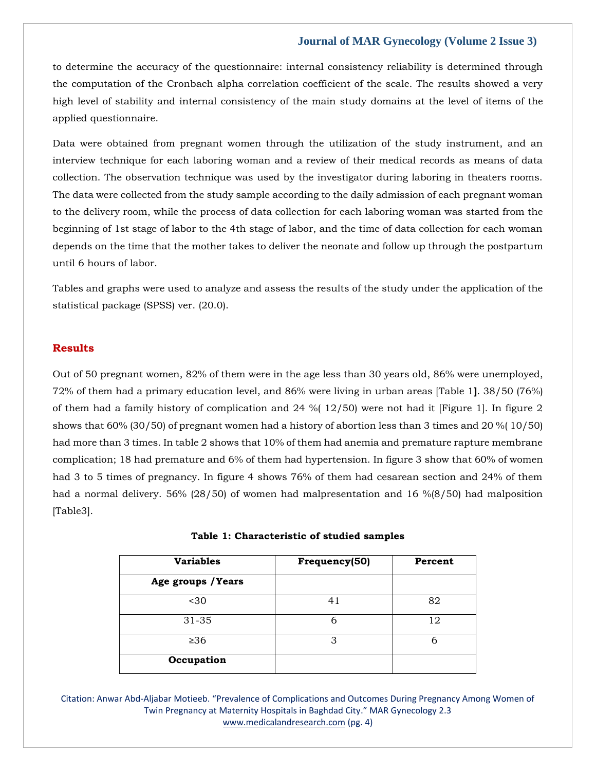to determine the accuracy of the questionnaire: internal consistency reliability is determined through the computation of the Cronbach alpha correlation coefficient of the scale. The results showed a very high level of stability and internal consistency of the main study domains at the level of items of the applied questionnaire.

Data were obtained from pregnant women through the utilization of the study instrument, and an interview technique for each laboring woman and a review of their medical records as means of data collection. The observation technique was used by the investigator during laboring in theaters rooms. The data were collected from the study sample according to the daily admission of each pregnant woman to the delivery room, while the process of data collection for each laboring woman was started from the beginning of 1st stage of labor to the 4th stage of labor, and the time of data collection for each woman depends on the time that the mother takes to deliver the neonate and follow up through the postpartum until 6 hours of labor.

Tables and graphs were used to analyze and assess the results of the study under the application of the statistical package (SPSS) ver. (20.0).

#### **Results**

Out of 50 pregnant women, 82% of them were in the age less than 30 years old, 86% were unemployed, 72% of them had a primary education level, and 86% were living in urban areas [Table 1**]**. 38/50 (76%) of them had a family history of complication and  $24\%$  ( $12/50$ ) were not had it [Figure 1]. In figure 2 shows that 60% (30/50) of pregnant women had a history of abortion less than 3 times and 20 %( 10/50) had more than 3 times. In table 2 shows that 10% of them had anemia and premature rapture membrane complication; 18 had premature and 6% of them had hypertension. In figure 3 show that 60% of women had 3 to 5 times of pregnancy. In figure 4 shows 76% of them had cesarean section and 24% of them had a normal delivery. 56% (28/50) of women had malpresentation and 16 %(8/50) had malposition [Table3].

| <b>Variables</b>   | Frequency(50) | Percent |  |
|--------------------|---------------|---------|--|
| Age groups / Years |               |         |  |
| $30$               | 41            | 82      |  |
| 31-35              | 6             | 12      |  |
| $\geq 36$          | З             | 6       |  |
| Occupation         |               |         |  |

**Table 1: Characteristic of studied samples**

Citation: Anwar Abd-Aljabar Motieeb. "Prevalence of Complications and Outcomes During Pregnancy Among Women of Twin Pregnancy at Maternity Hospitals in Baghdad City." MAR Gynecology 2.3 [www.medicalandresearch.com](http://www.medicalandresearch.com/) (pg. 4)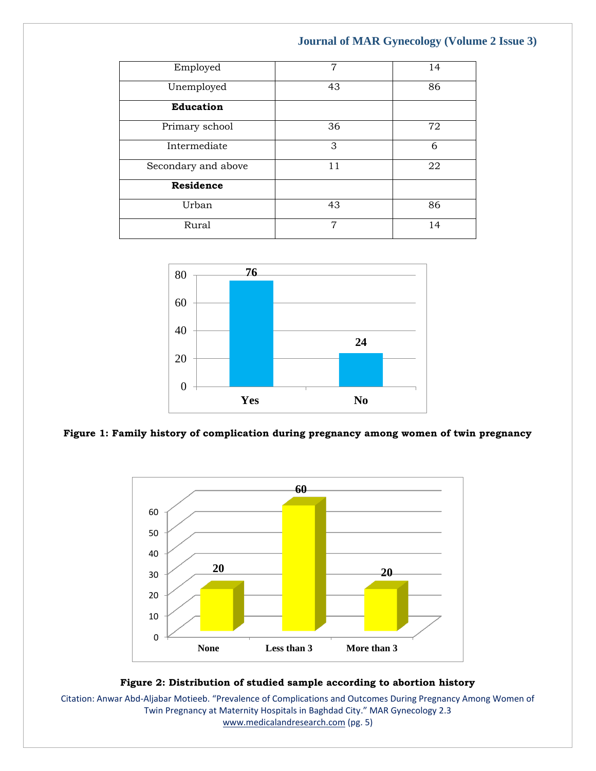| Employed            | 7  | 14 |
|---------------------|----|----|
| Unemployed          | 43 | 86 |
| <b>Education</b>    |    |    |
| Primary school      | 36 | 72 |
| Intermediate        | 3  | 6  |
| Secondary and above | 11 | 22 |
| Residence           |    |    |
| Urban               | 43 | 86 |
| Rural               | 7  | 14 |



#### **Figure 1: Family history of complication during pregnancy among women of twin pregnancy**



#### **Figure 2: Distribution of studied sample according to abortion history**

Citation: Anwar Abd-Aljabar Motieeb. "Prevalence of Complications and Outcomes During Pregnancy Among Women of Twin Pregnancy at Maternity Hospitals in Baghdad City." MAR Gynecology 2.3 [www.medicalandresearch.com](http://www.medicalandresearch.com/) (pg. 5)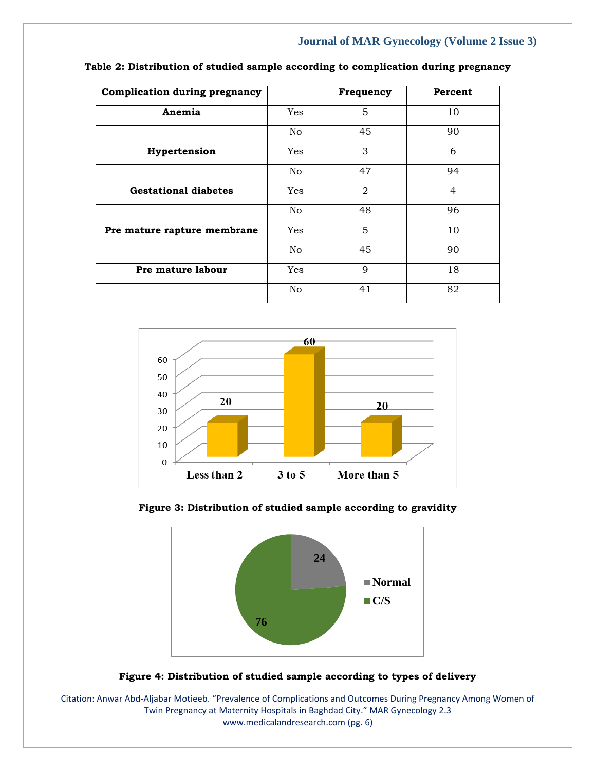| <b>Complication during pregnancy</b> |                | Frequency | Percent        |
|--------------------------------------|----------------|-----------|----------------|
| Anemia                               | Yes            | 5         | 10             |
|                                      | No             | 45        | 90             |
| Hypertension                         | <b>Yes</b>     | 3         | 6              |
|                                      | No             | 47        | 94             |
| <b>Gestational diabetes</b>          | Yes            | 2         | $\overline{4}$ |
|                                      | No             | 48        | 96             |
| Pre mature rapture membrane          | Yes            | 5         | 10             |
|                                      | N <sub>o</sub> | 45        | 90             |
| Pre mature labour                    | Yes            | 9         | 18             |
|                                      | N <sub>o</sub> | 41        | 82             |

| Table 2: Distribution of studied sample according to complication during pregnancy |  |  |
|------------------------------------------------------------------------------------|--|--|
|------------------------------------------------------------------------------------|--|--|









Citation: Anwar Abd-Aljabar Motieeb. "Prevalence of Complications and Outcomes During Pregnancy Among Women of Twin Pregnancy at Maternity Hospitals in Baghdad City." MAR Gynecology 2.3 [www.medicalandresearch.com](http://www.medicalandresearch.com/) (pg. 6)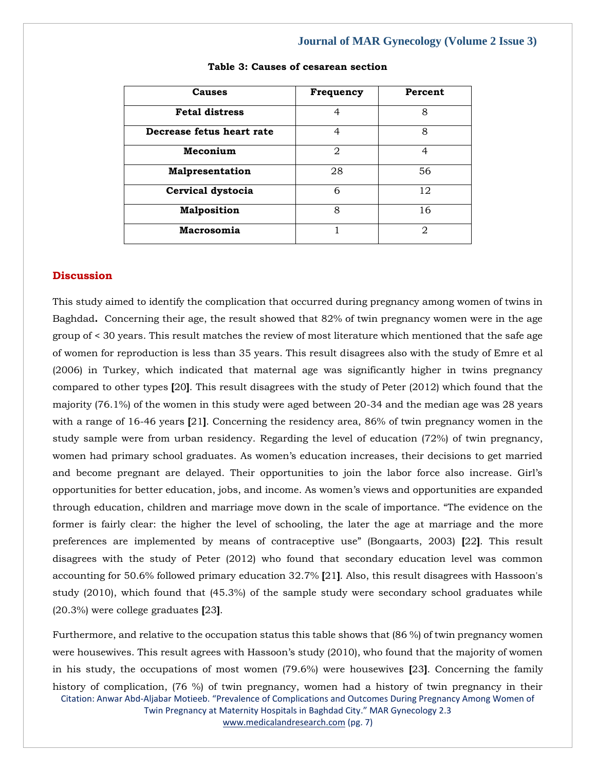| Causes                    | Frequency | Percent |
|---------------------------|-----------|---------|
| <b>Fetal distress</b>     | 4         | 8       |
| Decrease fetus heart rate | 4         | 8       |
| Meconium                  | 2         | 4       |
| Malpresentation           | 28        | 56      |
| Cervical dystocia         | 6         | 12      |
| <b>Malposition</b>        | 8         | 16      |
| Macrosomia                |           | 2       |

#### **Table 3: Causes of cesarean section**

#### **Discussion**

This study aimed to identify the complication that occurred during pregnancy among women of twins in Baghdad**.** Concerning their age, the result showed that 82% of twin pregnancy women were in the age group of < 30 years. This result matches the review of most literature which mentioned that the safe age of women for reproduction is less than 35 years. This result disagrees also with the study of Emre et al (2006) in Turkey, which indicated that maternal age was significantly higher in twins pregnancy compared to other types **[**20**]**. This result disagrees with the study of Peter (2012) which found that the majority (76.1%) of the women in this study were aged between 20-34 and the median age was 28 years with a range of 16-46 years **[**21**]**. Concerning the residency area, 86% of twin pregnancy women in the study sample were from urban residency. Regarding the level of education (72%) of twin pregnancy, women had primary school graduates. As women's education increases, their decisions to get married and become pregnant are delayed. Their opportunities to join the labor force also increase. Girl's opportunities for better education, jobs, and income. As women's views and opportunities are expanded through education, children and marriage move down in the scale of importance. "The evidence on the former is fairly clear: the higher the level of schooling, the later the age at marriage and the more preferences are implemented by means of contraceptive use" (Bongaarts, 2003) **[**22**]**. This result disagrees with the study of Peter (2012) who found that secondary education level was common accounting for 50.6% followed primary education 32.7% **[**21**]**. Also, this result disagrees with Hassoon's study (2010), which found that (45.3%) of the sample study were secondary school graduates while (20.3%) were college graduates **[**23**]**.

Citation: Anwar Abd-Aljabar Motieeb. "Prevalence of Complications and Outcomes During Pregnancy Among Women of Twin Pregnancy at Maternity Hospitals in Baghdad City." MAR Gynecology 2.3 [www.medicalandresearch.com](http://www.medicalandresearch.com/) (pg. 7) Furthermore, and relative to the occupation status this table shows that (86 %) of twin pregnancy women were housewives. This result agrees with Hassoon's study (2010), who found that the majority of women in his study, the occupations of most women (79.6%) were housewives **[**23**]**. Concerning the family history of complication, (76 %) of twin pregnancy, women had a history of twin pregnancy in their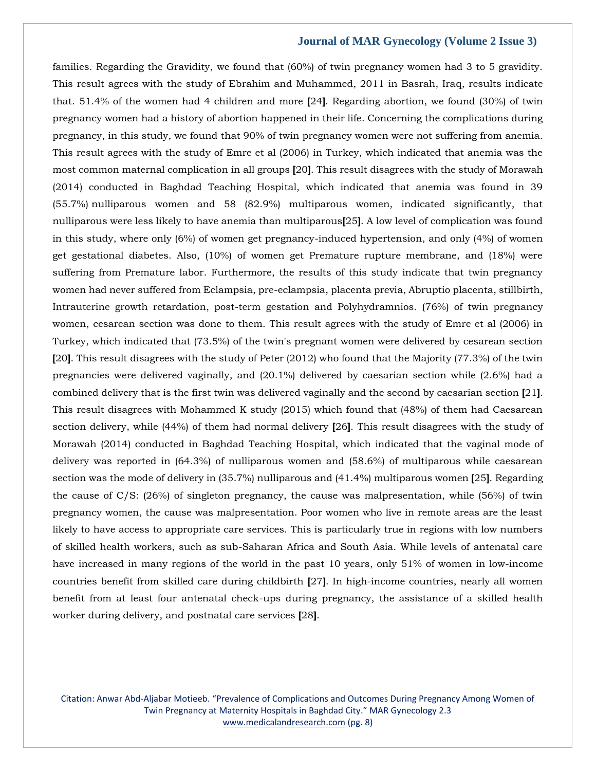families. Regarding the Gravidity, we found that (60%) of twin pregnancy women had 3 to 5 gravidity. This result agrees with the study of Ebrahim and Muhammed, 2011 in Basrah, Iraq, results indicate that. 51.4% of the women had 4 children and more **[**24**]**. Regarding abortion, we found (30%) of twin pregnancy women had a history of abortion happened in their life. Concerning the complications during pregnancy, in this study, we found that 90% of twin pregnancy women were not suffering from anemia. This result agrees with the study of Emre et al (2006) in Turkey, which indicated that anemia was the most common maternal complication in all groups **[**20**]**. This result disagrees with the study of Morawah (2014) conducted in Baghdad Teaching Hospital, which indicated that anemia was found in 39 (55.7%) nulliparous women and 58 (82.9%) multiparous women, indicated significantly, that nulliparous were less likely to have anemia than multiparous**[**25**]**. A low level of complication was found in this study, where only (6%) of women get pregnancy-induced hypertension, and only (4%) of women get gestational diabetes. Also, (10%) of women get Premature rupture membrane, and (18%) were suffering from Premature labor. Furthermore, the results of this study indicate that twin pregnancy women had never suffered from Eclampsia, pre-eclampsia, placenta previa, Abruptio placenta, stillbirth, Intrauterine growth retardation, post-term gestation and Polyhydramnios. (76%) of twin pregnancy women, cesarean section was done to them. This result agrees with the study of Emre et al (2006) in Turkey, which indicated that (73.5%) of the twin's pregnant women were delivered by cesarean section **[**20**]**. This result disagrees with the study of Peter (2012) who found that the Majority (77.3%) of the twin pregnancies were delivered vaginally, and (20.1%) delivered by caesarian section while (2.6%) had a combined delivery that is the first twin was delivered vaginally and the second by caesarian section **[**21**]**. This result disagrees with Mohammed K study (2015) which found that (48%) of them had Caesarean section delivery, while (44%) of them had normal delivery **[**26**]**. This result disagrees with the study of Morawah (2014) conducted in Baghdad Teaching Hospital, which indicated that the vaginal mode of delivery was reported in (64.3%) of nulliparous women and (58.6%) of multiparous while caesarean section was the mode of delivery in (35.7%) nulliparous and (41.4%) multiparous women **[**25**]**. Regarding the cause of C/S: (26%) of singleton pregnancy, the cause was malpresentation, while (56%) of twin pregnancy women, the cause was malpresentation. Poor women who live in remote areas are the least likely to have access to appropriate care services. This is particularly true in regions with low numbers of skilled health workers, such as sub-Saharan Africa and South Asia. While levels of antenatal care have increased in many regions of the world in the past 10 years, only 51% of women in low-income countries benefit from skilled care during childbirth **[**27**]**. In high-income countries, nearly all women benefit from at least four antenatal check-ups during pregnancy, the assistance of a skilled health worker during delivery, and postnatal care services **[**28**]**.

Citation: Anwar Abd-Aljabar Motieeb. "Prevalence of Complications and Outcomes During Pregnancy Among Women of Twin Pregnancy at Maternity Hospitals in Baghdad City." MAR Gynecology 2.3 [www.medicalandresearch.com](http://www.medicalandresearch.com/) (pg. 8)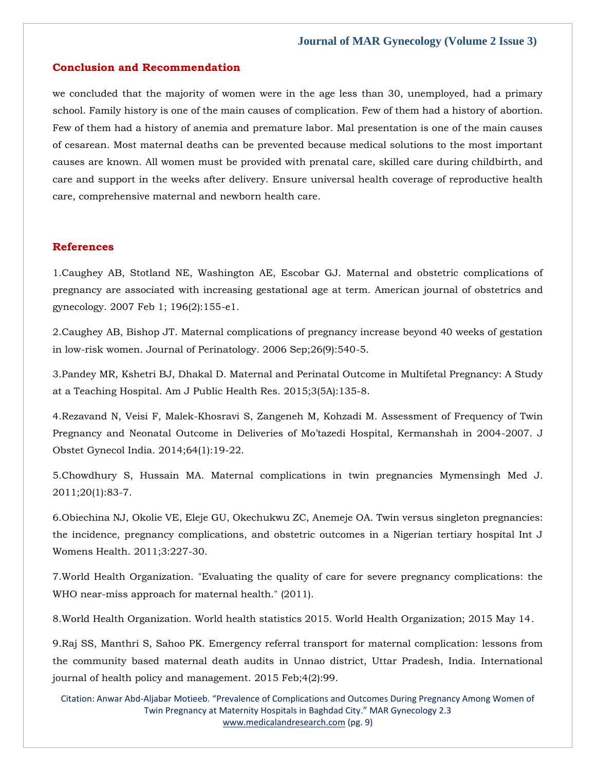#### **Conclusion and Recommendation**

we concluded that the majority of women were in the age less than 30, unemployed, had a primary school. Family history is one of the main causes of complication. Few of them had a history of abortion. Few of them had a history of anemia and premature labor. Mal presentation is one of the main causes of cesarean. Most maternal deaths can be prevented because medical solutions to the most important causes are known. All women must be provided with prenatal care, skilled care during childbirth, and care and support in the weeks after delivery. Ensure universal health coverage of reproductive health care, comprehensive maternal and newborn health care.

#### **References**

1[.Caughey AB, Stotland NE, Washington AE, Escobar GJ. Maternal and obstetric complications of](https://www.google.com/search?q=Maternal+and+obstetric+complications+of+pregnancy+are+associated+with+increasing+gestational+age+at+term&sxsrf=AOaemvLgbfRxuOWmTQXxKatSpqllC0fm6Q%3A1640172121949&ei=WQrDYfCcOfTKmAWy7pmwDA&ved=0ahUKEwiwrculpff0AhV0JaYKHTJ3BsYQ4dUDCA4&uact=5&oq=Maternal+and+obstetric+complications+of+pregnancy+are+associated+with+increasing+gestational+age+at+term&gs_lcp=Cgdnd3Mtd2l6EAMyBwgjEOoCECcyBwgjEOoCECcyBwgjEOoCECcyBwgjEOoCECcyBwgjEOoCECcyBwgjEOoCECcyBwgjEOoCECcyBwgjEOoCECcyBwgjEOoCECcyBwgjEOoCECdKBAhBGABKBAhGGABQiAlYiAlgjgxoAXAAeACAAQCIAQCSAQCYAQCgAQGgAQKwAQrAAQE&sclient=gws-wiz)  [pregnancy are associated with increasing gestational age at term. American journal of obstetrics and](https://www.google.com/search?q=Maternal+and+obstetric+complications+of+pregnancy+are+associated+with+increasing+gestational+age+at+term&sxsrf=AOaemvLgbfRxuOWmTQXxKatSpqllC0fm6Q%3A1640172121949&ei=WQrDYfCcOfTKmAWy7pmwDA&ved=0ahUKEwiwrculpff0AhV0JaYKHTJ3BsYQ4dUDCA4&uact=5&oq=Maternal+and+obstetric+complications+of+pregnancy+are+associated+with+increasing+gestational+age+at+term&gs_lcp=Cgdnd3Mtd2l6EAMyBwgjEOoCECcyBwgjEOoCECcyBwgjEOoCECcyBwgjEOoCECcyBwgjEOoCECcyBwgjEOoCECcyBwgjEOoCECcyBwgjEOoCECcyBwgjEOoCECcyBwgjEOoCECdKBAhBGABKBAhGGABQiAlYiAlgjgxoAXAAeACAAQCIAQCSAQCYAQCgAQGgAQKwAQrAAQE&sclient=gws-wiz)  [gynecology. 2007 Feb 1; 196\(2\):155-e1.](https://www.google.com/search?q=Maternal+and+obstetric+complications+of+pregnancy+are+associated+with+increasing+gestational+age+at+term&sxsrf=AOaemvLgbfRxuOWmTQXxKatSpqllC0fm6Q%3A1640172121949&ei=WQrDYfCcOfTKmAWy7pmwDA&ved=0ahUKEwiwrculpff0AhV0JaYKHTJ3BsYQ4dUDCA4&uact=5&oq=Maternal+and+obstetric+complications+of+pregnancy+are+associated+with+increasing+gestational+age+at+term&gs_lcp=Cgdnd3Mtd2l6EAMyBwgjEOoCECcyBwgjEOoCECcyBwgjEOoCECcyBwgjEOoCECcyBwgjEOoCECcyBwgjEOoCECcyBwgjEOoCECcyBwgjEOoCECcyBwgjEOoCECcyBwgjEOoCECdKBAhBGABKBAhGGABQiAlYiAlgjgxoAXAAeACAAQCIAQCSAQCYAQCgAQGgAQKwAQrAAQE&sclient=gws-wiz)

2[.Caughey AB, Bishop JT. Maternal complications of pregnancy increase beyond 40 weeks of gestation](https://www.google.com/search?q=Maternal+complications+of+pregnancy+increase+beyond+40+weeks+of+gestation+in+low-risk+women&sxsrf=AOaemvJC-nmgv7erDOPWIKj6Y9fVjbHzVw%3A1640187899709&ei=-0fDYbncKsfr-QabkpDQDg&ved=0ahUKEwj5xYGJ4Pf0AhXHdd4KHRsJBOoQ4dUDCA4&uact=5&oq=Maternal+complications+of+pregnancy+increase+beyond+40+weeks+of+gestation+in+low-risk+women&gs_lcp=Cgdnd3Mtd2l6EANKBAhBGABKBAhGGABKBAhBGABKBAhGGABQ3AZYpBZgjCFoAnAAeAGAAawDiAG4A5IBBTEuNC0xmAEAoAEBoAECsAEKwAEB&sclient=gws-wiz)  [in low-risk women. Journal of Perinatology. 2006 Sep;26\(9\):540-5.](https://www.google.com/search?q=Maternal+complications+of+pregnancy+increase+beyond+40+weeks+of+gestation+in+low-risk+women&sxsrf=AOaemvJC-nmgv7erDOPWIKj6Y9fVjbHzVw%3A1640187899709&ei=-0fDYbncKsfr-QabkpDQDg&ved=0ahUKEwj5xYGJ4Pf0AhXHdd4KHRsJBOoQ4dUDCA4&uact=5&oq=Maternal+complications+of+pregnancy+increase+beyond+40+weeks+of+gestation+in+low-risk+women&gs_lcp=Cgdnd3Mtd2l6EANKBAhBGABKBAhGGABKBAhBGABKBAhGGABQ3AZYpBZgjCFoAnAAeAGAAawDiAG4A5IBBTEuNC0xmAEAoAEBoAECsAEKwAEB&sclient=gws-wiz)

3[.Pandey MR, Kshetri BJ, Dhakal D. Maternal and Perinatal Outcome in Multifetal Pregnancy: A Study](https://www.google.com/search?q=Maternal+and+Perinatal+Outcome+in+Multifetal+Pregnancy%3A+A+Study+at+a+Teaching+Hospital&sxsrf=AOaemvIqtvlQA7jXziX-5cfl6Y8Sp10oOg%3A1640188036052&ei=hEjDYZjFApHU-QaM2p6YCA&ved=0ahUKEwiYl4PK4Pf0AhURat4KHQytB4MQ4dUDCA4&uact=5&oq=Maternal+and+Perinatal+Outcome+in+Multifetal+Pregnancy%3A+A+Study+at+a+Teaching+Hospital&gs_lcp=Cgdnd3Mtd2l6EAM6BwgjEOoCECdKBAhBGABKBAhGGABQ8gVY8gVg3QhoAXAAeACAAZQCiAGUApIBAzItMZgBAKABAaABArABCsABAQ&sclient=gws-wiz)  [at a Teaching Hospital. Am J Public Health Res. 2015;3\(5A\):135-8.](https://www.google.com/search?q=Maternal+and+Perinatal+Outcome+in+Multifetal+Pregnancy%3A+A+Study+at+a+Teaching+Hospital&sxsrf=AOaemvIqtvlQA7jXziX-5cfl6Y8Sp10oOg%3A1640188036052&ei=hEjDYZjFApHU-QaM2p6YCA&ved=0ahUKEwiYl4PK4Pf0AhURat4KHQytB4MQ4dUDCA4&uact=5&oq=Maternal+and+Perinatal+Outcome+in+Multifetal+Pregnancy%3A+A+Study+at+a+Teaching+Hospital&gs_lcp=Cgdnd3Mtd2l6EAM6BwgjEOoCECdKBAhBGABKBAhGGABQ8gVY8gVg3QhoAXAAeACAAZQCiAGUApIBAzItMZgBAKABAaABArABCsABAQ&sclient=gws-wiz)

4.Re[zavand N, Veisi F, Malek-Khosravi S, Zangeneh M, Kohzadi M. Assessment of Frequency of Twin](https://www.google.com/search?q=Assessment+of+Frequency+of+Twin+Pregnancy+and+Neonatal+Outcome+in+Deliveries+of+Mo%E2%80%99tazedi+Hospital%2C+Kermanshah+in+2004-2007&sxsrf=AOaemvKcv3VE2Lw7YW5nO-wKKp3T7QiCjA%3A1640188071790&ei=p0jDYevcL4Tv-QaivpywAg&ved=0ahUKEwirzIjb4Pf0AhWEd94KHSIfByYQ4dUDCA4&uact=5&oq=Assessment+of+Frequency+of+Twin+Pregnancy+and+Neonatal+Outcome+in+Deliveries+of+Mo%E2%80%99tazedi+Hospital%2C+Kermanshah+in+2004-2007&gs_lcp=Cgdnd3Mtd2l6EAMyBwgjEOoCECcyBwgjEOoCECcyBwgjEOoCECcyBwgjEOoCECcyBwgjEOoCECcyBwgjEOoCECcyBwgjEOoCECcyBwgjEOoCECcyBwgjEOoCECcyBwgjEOoCECdKBAhBGABKBAhGGABQkwZYkwZgswhoAXAAeACAAQCIAQCSAQCYAQCgAQGgAQKwAQrAAQE&sclient=gws-wiz)  [Pregnancy and Neonatal Outcome in Deliveries of Mo'tazedi Hospital, Kermanshah in 2004](https://www.google.com/search?q=Assessment+of+Frequency+of+Twin+Pregnancy+and+Neonatal+Outcome+in+Deliveries+of+Mo%E2%80%99tazedi+Hospital%2C+Kermanshah+in+2004-2007&sxsrf=AOaemvKcv3VE2Lw7YW5nO-wKKp3T7QiCjA%3A1640188071790&ei=p0jDYevcL4Tv-QaivpywAg&ved=0ahUKEwirzIjb4Pf0AhWEd94KHSIfByYQ4dUDCA4&uact=5&oq=Assessment+of+Frequency+of+Twin+Pregnancy+and+Neonatal+Outcome+in+Deliveries+of+Mo%E2%80%99tazedi+Hospital%2C+Kermanshah+in+2004-2007&gs_lcp=Cgdnd3Mtd2l6EAMyBwgjEOoCECcyBwgjEOoCECcyBwgjEOoCECcyBwgjEOoCECcyBwgjEOoCECcyBwgjEOoCECcyBwgjEOoCECcyBwgjEOoCECcyBwgjEOoCECcyBwgjEOoCECdKBAhBGABKBAhGGABQkwZYkwZgswhoAXAAeACAAQCIAQCSAQCYAQCgAQGgAQKwAQrAAQE&sclient=gws-wiz)-2007. J [Obstet Gynecol India. 2014;64\(1\):19-22.](https://www.google.com/search?q=Assessment+of+Frequency+of+Twin+Pregnancy+and+Neonatal+Outcome+in+Deliveries+of+Mo%E2%80%99tazedi+Hospital%2C+Kermanshah+in+2004-2007&sxsrf=AOaemvKcv3VE2Lw7YW5nO-wKKp3T7QiCjA%3A1640188071790&ei=p0jDYevcL4Tv-QaivpywAg&ved=0ahUKEwirzIjb4Pf0AhWEd94KHSIfByYQ4dUDCA4&uact=5&oq=Assessment+of+Frequency+of+Twin+Pregnancy+and+Neonatal+Outcome+in+Deliveries+of+Mo%E2%80%99tazedi+Hospital%2C+Kermanshah+in+2004-2007&gs_lcp=Cgdnd3Mtd2l6EAMyBwgjEOoCECcyBwgjEOoCECcyBwgjEOoCECcyBwgjEOoCECcyBwgjEOoCECcyBwgjEOoCECcyBwgjEOoCECcyBwgjEOoCECcyBwgjEOoCECcyBwgjEOoCECdKBAhBGABKBAhGGABQkwZYkwZgswhoAXAAeACAAQCIAQCSAQCYAQCgAQGgAQKwAQrAAQE&sclient=gws-wiz)

5[.Chowdhury S, Hussain MA. Maternal complications in twin pregnancies Mymensingh Med J.](https://www.google.com/search?q=Maternal+complications+in+twin+pregnancies&sxsrf=AOaemvJwdIvDcYYzAEQLPIB_3xGHfFcmww%3A1640188160093&ei=AEnDYeeHBe_m2roPq7y4-Ak&ved=0ahUKEwjnh5aF4ff0AhVvs1YBHSseDp8Q4dUDCA4&uact=5&oq=Maternal+complications+in+twin+pregnancies&gs_lcp=Cgdnd3Mtd2l6EAMyBQgAEIAEOgcIABBHELADOgYIABAWEB5KBAhBGABKBAhGGABQhwVYpRNghhloAXACeACAAe0CiAH0FZIBBjItMTAuMZgBAKABAcgBCMABAQ&sclient=gws-wiz)  [2011;20\(1\):83-7.](https://www.google.com/search?q=Maternal+complications+in+twin+pregnancies&sxsrf=AOaemvJwdIvDcYYzAEQLPIB_3xGHfFcmww%3A1640188160093&ei=AEnDYeeHBe_m2roPq7y4-Ak&ved=0ahUKEwjnh5aF4ff0AhVvs1YBHSseDp8Q4dUDCA4&uact=5&oq=Maternal+complications+in+twin+pregnancies&gs_lcp=Cgdnd3Mtd2l6EAMyBQgAEIAEOgcIABBHELADOgYIABAWEB5KBAhBGABKBAhGGABQhwVYpRNghhloAXACeACAAe0CiAH0FZIBBjItMTAuMZgBAKABAcgBCMABAQ&sclient=gws-wiz)

6[.Obiechina NJ, Okolie VE, Eleje GU, Okechukwu ZC, Anemeje OA. Twin versus singleton pregnancies:](https://www.google.com/search?q=Twin+versus+singleton+pregnancies%3A+the+incidence%2C+pregnancy+complications%2C+and+obstetric+outcomes+in+a+Nigerian+tertiary+hospital&sxsrf=AOaemvLZwtcz7GXCGsiai5diDrR7g2gNbw%3A1640188170695&ei=CknDYbLJKaXc2roP1qGs-Ak&ved=0ahUKEwiy9pyK4ff0AhUlrlYBHdYQC58Q4dUDCA4&uact=5&oq=Twin+versus+singleton+pregnancies%3A+the+incidence%2C+pregnancy+complications%2C+and+obstetric+outcomes+in+a+Nigerian+tertiary+hospital&gs_lcp=Cgdnd3Mtd2l6EAMyBwgjEOoCECcyBwgjEOoCECcyBwgjEOoCECcyBwgjEOoCECcyBwgjEOoCECcyBwgjEOoCECcyBwgjEOoCECcyBwgjEOoCECcyBwgjEOoCECcyBwgjEOoCECdKBAhBGABKBAhGGABQiwZYiwZgughoAXACeACAAQCIAQCSAQCYAQCgAQGgAQKwAQrAAQE&sclient=gws-wiz)  [the incidence, pregnancy complications, and obstetric outcomes in a Nigerian tertiary hospital Int J](https://www.google.com/search?q=Twin+versus+singleton+pregnancies%3A+the+incidence%2C+pregnancy+complications%2C+and+obstetric+outcomes+in+a+Nigerian+tertiary+hospital&sxsrf=AOaemvLZwtcz7GXCGsiai5diDrR7g2gNbw%3A1640188170695&ei=CknDYbLJKaXc2roP1qGs-Ak&ved=0ahUKEwiy9pyK4ff0AhUlrlYBHdYQC58Q4dUDCA4&uact=5&oq=Twin+versus+singleton+pregnancies%3A+the+incidence%2C+pregnancy+complications%2C+and+obstetric+outcomes+in+a+Nigerian+tertiary+hospital&gs_lcp=Cgdnd3Mtd2l6EAMyBwgjEOoCECcyBwgjEOoCECcyBwgjEOoCECcyBwgjEOoCECcyBwgjEOoCECcyBwgjEOoCECcyBwgjEOoCECcyBwgjEOoCECcyBwgjEOoCECcyBwgjEOoCECdKBAhBGABKBAhGGABQiwZYiwZgughoAXACeACAAQCIAQCSAQCYAQCgAQGgAQKwAQrAAQE&sclient=gws-wiz)  [Womens Health. 2011;3:227-30.](https://www.google.com/search?q=Twin+versus+singleton+pregnancies%3A+the+incidence%2C+pregnancy+complications%2C+and+obstetric+outcomes+in+a+Nigerian+tertiary+hospital&sxsrf=AOaemvLZwtcz7GXCGsiai5diDrR7g2gNbw%3A1640188170695&ei=CknDYbLJKaXc2roP1qGs-Ak&ved=0ahUKEwiy9pyK4ff0AhUlrlYBHdYQC58Q4dUDCA4&uact=5&oq=Twin+versus+singleton+pregnancies%3A+the+incidence%2C+pregnancy+complications%2C+and+obstetric+outcomes+in+a+Nigerian+tertiary+hospital&gs_lcp=Cgdnd3Mtd2l6EAMyBwgjEOoCECcyBwgjEOoCECcyBwgjEOoCECcyBwgjEOoCECcyBwgjEOoCECcyBwgjEOoCECcyBwgjEOoCECcyBwgjEOoCECcyBwgjEOoCECcyBwgjEOoCECdKBAhBGABKBAhGGABQiwZYiwZgughoAXACeACAAQCIAQCSAQCYAQCgAQGgAQKwAQrAAQE&sclient=gws-wiz)

7.Wor[ld Health Organization. "Evaluating the quality of care for severe pregnancy complications: the](https://www.google.com/search?q=Evaluating+the+quality+of+care+for+severe+pregnancy+complications%3A+the+WHO+near-miss+approach+for+maternal+health&sxsrf=AOaemvLJX9blbPblEIFn8hszlzDgOjL1xg%3A1640188194831&ei=IknDYaKNMqnh2roPycaF8Ak&ved=0ahUKEwiipt6V4ff0AhWpsFYBHUljAZ4Q4dUDCA4&uact=5&oq=Evaluating+the+quality+of+care+for+severe+pregnancy+complications%3A+the+WHO+near-miss+approach+for+maternal+health&gs_lcp=Cgdnd3Mtd2l6EAMyBwgjEOoCECcyBwgjEOoCECcyBwgjEOoCECcyBwgjEOoCECcyBwgjEOoCECcyBwgjEOoCECcyBwgjEOoCECcyBwgjEOoCECcyBwgjEOoCECcyBwgjEOoCECdKBAhBGABKBAhGGABQ6QVY6QVgjwhoAXACeACAAQCIAQCSAQCYAQCgAQGgAQKwAQrAAQE&sclient=gws-wiz)  [WHO near-miss approach for maternal health." \(2011\).](https://www.google.com/search?q=Evaluating+the+quality+of+care+for+severe+pregnancy+complications%3A+the+WHO+near-miss+approach+for+maternal+health&sxsrf=AOaemvLJX9blbPblEIFn8hszlzDgOjL1xg%3A1640188194831&ei=IknDYaKNMqnh2roPycaF8Ak&ved=0ahUKEwiipt6V4ff0AhWpsFYBHUljAZ4Q4dUDCA4&uact=5&oq=Evaluating+the+quality+of+care+for+severe+pregnancy+complications%3A+the+WHO+near-miss+approach+for+maternal+health&gs_lcp=Cgdnd3Mtd2l6EAMyBwgjEOoCECcyBwgjEOoCECcyBwgjEOoCECcyBwgjEOoCECcyBwgjEOoCECcyBwgjEOoCECcyBwgjEOoCECcyBwgjEOoCECcyBwgjEOoCECcyBwgjEOoCECdKBAhBGABKBAhGGABQ6QVY6QVgjwhoAXACeACAAQCIAQCSAQCYAQCgAQGgAQKwAQrAAQE&sclient=gws-wiz)

8[.World Health Organization. World health statistics 2015. World Health Organization; 2015 May 14.](https://www.google.com/search?q=World+health+statistics+2015&sxsrf=AOaemvKHHWiw1U9Z-Q6uNmbaWE_yDvF93Q%3A1640188274473&ei=cknDYcGYHM-o2roPm7CmgAo&ved=0ahUKEwjBmdu74ff0AhVPlFYBHRuYCaAQ4dUDCA4&uact=5&oq=World+health+statistics+2015&gs_lcp=Cgdnd3Mtd2l6EAMyBQguEIAEMgYIABAWEB46BwgjEOoCECdKBAhBGABKBAhGGABQugZYugZglAloAXACeACAAd8BiAHfAZIBAzItMZgBAKABAaABArABCsABAQ&sclient=gws-wiz)

9[.Raj SS, Manthri S, Sahoo PK. Emergency referral transport for maternal complication: lessons from](https://www.google.com/search?q=Emergency+referral+transport+for+maternal+complication%3A+lessons+from+the+community+based+maternal+death+audits+in+Unnao+district%2C+Uttar+Pradesh%2C+India&sxsrf=AOaemvLp22Z9JL2ql08HBToDHOKNABdbAw%3A1640188294267&ei=hknDYeXrD5yO2roPj_Cw-Ak&ved=0ahUKEwjlxpPF4ff0AhUch1YBHQ84DJ8Q4dUDCA4&uact=5&oq=Emergency+referral+transport+for+maternal+complication%3A+lessons+from+the+community+based+maternal+death+audits+in+Unnao+district%2C+Uttar+Pradesh%2C+India&gs_lcp=Cgdnd3Mtd2l6EAMyBwgjEOoCECcyBwgjEOoCECcyBwgjEOoCECcyBwgjEOoCECcyBwgjEOoCECcyBwgjEOoCECcyBwgjEOoCECcyBwgjEOoCECcyBwgjEOoCECcyBwgjEOoCECdKBAhBGABKBAhGGABQ-QZY-QZgvQloAXACeACAAQCIAQCSAQCYAQCgAQGgAQKwAQrAAQE&sclient=gws-wiz)  [the community based maternal death audits in Unnao district, Uttar Pradesh, India. International](https://www.google.com/search?q=Emergency+referral+transport+for+maternal+complication%3A+lessons+from+the+community+based+maternal+death+audits+in+Unnao+district%2C+Uttar+Pradesh%2C+India&sxsrf=AOaemvLp22Z9JL2ql08HBToDHOKNABdbAw%3A1640188294267&ei=hknDYeXrD5yO2roPj_Cw-Ak&ved=0ahUKEwjlxpPF4ff0AhUch1YBHQ84DJ8Q4dUDCA4&uact=5&oq=Emergency+referral+transport+for+maternal+complication%3A+lessons+from+the+community+based+maternal+death+audits+in+Unnao+district%2C+Uttar+Pradesh%2C+India&gs_lcp=Cgdnd3Mtd2l6EAMyBwgjEOoCECcyBwgjEOoCECcyBwgjEOoCECcyBwgjEOoCECcyBwgjEOoCECcyBwgjEOoCECcyBwgjEOoCECcyBwgjEOoCECcyBwgjEOoCECcyBwgjEOoCECdKBAhBGABKBAhGGABQ-QZY-QZgvQloAXACeACAAQCIAQCSAQCYAQCgAQGgAQKwAQrAAQE&sclient=gws-wiz)  [journal of health policy and management. 2015 Feb;4\(2\):99.](https://www.google.com/search?q=Emergency+referral+transport+for+maternal+complication%3A+lessons+from+the+community+based+maternal+death+audits+in+Unnao+district%2C+Uttar+Pradesh%2C+India&sxsrf=AOaemvLp22Z9JL2ql08HBToDHOKNABdbAw%3A1640188294267&ei=hknDYeXrD5yO2roPj_Cw-Ak&ved=0ahUKEwjlxpPF4ff0AhUch1YBHQ84DJ8Q4dUDCA4&uact=5&oq=Emergency+referral+transport+for+maternal+complication%3A+lessons+from+the+community+based+maternal+death+audits+in+Unnao+district%2C+Uttar+Pradesh%2C+India&gs_lcp=Cgdnd3Mtd2l6EAMyBwgjEOoCECcyBwgjEOoCECcyBwgjEOoCECcyBwgjEOoCECcyBwgjEOoCECcyBwgjEOoCECcyBwgjEOoCECcyBwgjEOoCECcyBwgjEOoCECcyBwgjEOoCECdKBAhBGABKBAhGGABQ-QZY-QZgvQloAXACeACAAQCIAQCSAQCYAQCgAQGgAQKwAQrAAQE&sclient=gws-wiz)

Citation: Anwar Abd-Aljabar Motieeb. "Prevalence of Complications and Outcomes During Pregnancy Among Women of Twin Pregnancy at Maternity Hospitals in Baghdad City." MAR Gynecology 2.3 [www.medicalandresearch.com](http://www.medicalandresearch.com/) (pg. 9)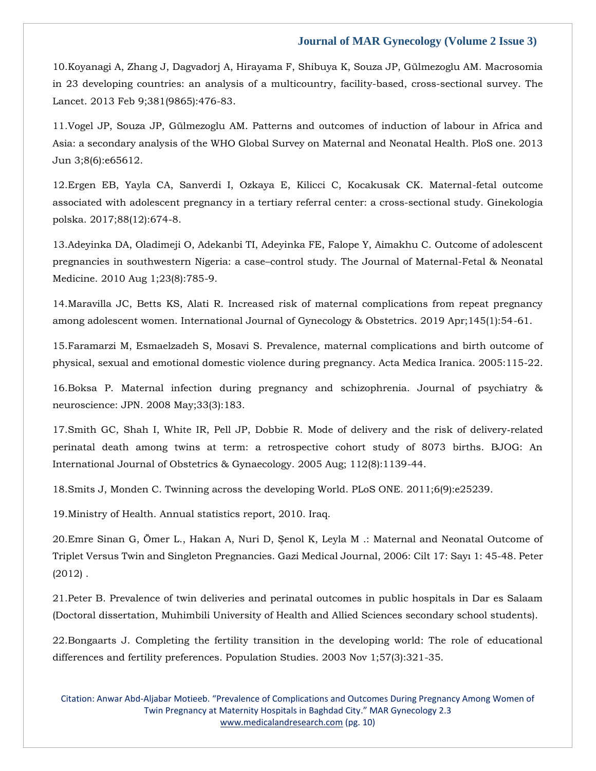10[.Koyanagi A, Zhang J, Dagvadorj A, Hirayama F, Shibuya K, Souza JP, Gülmezoglu AM. Macrosomia](https://www.google.com/search?q=Macrosomia+in+23+developing+countries%3A+an+analysis+of+a+multicountry%2C+facility-based%2C+cross-sectional+survey&sxsrf=AOaemvJ9XZ1Av2t7vS6VmKQqUS-0iwr-4A%3A1640188323846&ei=o0nDYZeCM8Dk2roP8beA-Ak&ved=0ahUKEwjX36DT4ff0AhVAslYBHfEbAJ8Q4dUDCA4&uact=5&oq=Macrosomia+in+23+developing+countries%3A+an+analysis+of+a+multicountry%2C+facility-based%2C+cross-sectional+survey&gs_lcp=Cgdnd3Mtd2l6EAMyBwgjEOoCECcyBwgjEOoCECcyBwgjEOoCECcyBwgjEOoCECcyBwgjEOoCECcyBwgjEOoCECcyBwgjEOoCECcyBwgjEOoCECcyBwgjEOoCECcyBwgjEOoCECdKBAhBGABKBAhGGABQ8wVY8wVgtAhoAXACeACAAQCIAQCSAQCYAQCgAQGgAQKwAQrAAQE&sclient=gws-wiz)  [in 23 developing countries: an analysis of a multicountry, facility-based, cross-sectional survey. The](https://www.google.com/search?q=Macrosomia+in+23+developing+countries%3A+an+analysis+of+a+multicountry%2C+facility-based%2C+cross-sectional+survey&sxsrf=AOaemvJ9XZ1Av2t7vS6VmKQqUS-0iwr-4A%3A1640188323846&ei=o0nDYZeCM8Dk2roP8beA-Ak&ved=0ahUKEwjX36DT4ff0AhVAslYBHfEbAJ8Q4dUDCA4&uact=5&oq=Macrosomia+in+23+developing+countries%3A+an+analysis+of+a+multicountry%2C+facility-based%2C+cross-sectional+survey&gs_lcp=Cgdnd3Mtd2l6EAMyBwgjEOoCECcyBwgjEOoCECcyBwgjEOoCECcyBwgjEOoCECcyBwgjEOoCECcyBwgjEOoCECcyBwgjEOoCECcyBwgjEOoCECcyBwgjEOoCECcyBwgjEOoCECdKBAhBGABKBAhGGABQ8wVY8wVgtAhoAXACeACAAQCIAQCSAQCYAQCgAQGgAQKwAQrAAQE&sclient=gws-wiz)  [Lancet. 2013 Feb 9;381\(9865\):476-83.](https://www.google.com/search?q=Macrosomia+in+23+developing+countries%3A+an+analysis+of+a+multicountry%2C+facility-based%2C+cross-sectional+survey&sxsrf=AOaemvJ9XZ1Av2t7vS6VmKQqUS-0iwr-4A%3A1640188323846&ei=o0nDYZeCM8Dk2roP8beA-Ak&ved=0ahUKEwjX36DT4ff0AhVAslYBHfEbAJ8Q4dUDCA4&uact=5&oq=Macrosomia+in+23+developing+countries%3A+an+analysis+of+a+multicountry%2C+facility-based%2C+cross-sectional+survey&gs_lcp=Cgdnd3Mtd2l6EAMyBwgjEOoCECcyBwgjEOoCECcyBwgjEOoCECcyBwgjEOoCECcyBwgjEOoCECcyBwgjEOoCECcyBwgjEOoCECcyBwgjEOoCECcyBwgjEOoCECcyBwgjEOoCECdKBAhBGABKBAhGGABQ8wVY8wVgtAhoAXACeACAAQCIAQCSAQCYAQCgAQGgAQKwAQrAAQE&sclient=gws-wiz)

11[.Vogel JP, Souza JP, Gülmezoglu AM. Patterns and outcomes of induction of labour in Africa and](https://www.google.com/search?q=Patterns+and+outcomes+of+induction+of+labour+in+Africa+and+Asia%3A+a+secondary+analysis+of+the+WHO+Global+Survey+on+Maternal+and+Neonatal+Health&sxsrf=AOaemvI4QL5cRgEjPZR9sQ9OMz3lw-pAWA%3A1640188352423&ei=wEnDYeiDGZOk2roP3aiV-Ak&ved=0ahUKEwjo4_Dg4ff0AhUTklYBHV1UBZ8Q4dUDCA4&uact=5&oq=Patterns+and+outcomes+of+induction+of+labour+in+Africa+and+Asia%3A+a+secondary+analysis+of+the+WHO+Global+Survey+on+Maternal+and+Neonatal+Health&gs_lcp=Cgdnd3Mtd2l6EAMyBwgjEOoCECcyBwgjEOoCECcyBwgjEOoCECcyBwgjEOoCECcyBwgjEOoCECcyBwgjEOoCECcyBwgjEOoCECcyBwgjEOoCECcyBwgjEOoCECcyBwgjEOoCECdKBAhBGABKBAhGGABQxAVYxAVg5QdoAXAAeACAAQCIAQCSAQCYAQCgAQGgAQKwAQrAAQE&sclient=gws-wiz)  [Asia: a secondary analysis of the WHO Global Survey on Maternal and Neonatal Health. PloS one. 2013](https://www.google.com/search?q=Patterns+and+outcomes+of+induction+of+labour+in+Africa+and+Asia%3A+a+secondary+analysis+of+the+WHO+Global+Survey+on+Maternal+and+Neonatal+Health&sxsrf=AOaemvI4QL5cRgEjPZR9sQ9OMz3lw-pAWA%3A1640188352423&ei=wEnDYeiDGZOk2roP3aiV-Ak&ved=0ahUKEwjo4_Dg4ff0AhUTklYBHV1UBZ8Q4dUDCA4&uact=5&oq=Patterns+and+outcomes+of+induction+of+labour+in+Africa+and+Asia%3A+a+secondary+analysis+of+the+WHO+Global+Survey+on+Maternal+and+Neonatal+Health&gs_lcp=Cgdnd3Mtd2l6EAMyBwgjEOoCECcyBwgjEOoCECcyBwgjEOoCECcyBwgjEOoCECcyBwgjEOoCECcyBwgjEOoCECcyBwgjEOoCECcyBwgjEOoCECcyBwgjEOoCECcyBwgjEOoCECdKBAhBGABKBAhGGABQxAVYxAVg5QdoAXAAeACAAQCIAQCSAQCYAQCgAQGgAQKwAQrAAQE&sclient=gws-wiz)  [Jun 3;8\(6\):e65612.](https://www.google.com/search?q=Patterns+and+outcomes+of+induction+of+labour+in+Africa+and+Asia%3A+a+secondary+analysis+of+the+WHO+Global+Survey+on+Maternal+and+Neonatal+Health&sxsrf=AOaemvI4QL5cRgEjPZR9sQ9OMz3lw-pAWA%3A1640188352423&ei=wEnDYeiDGZOk2roP3aiV-Ak&ved=0ahUKEwjo4_Dg4ff0AhUTklYBHV1UBZ8Q4dUDCA4&uact=5&oq=Patterns+and+outcomes+of+induction+of+labour+in+Africa+and+Asia%3A+a+secondary+analysis+of+the+WHO+Global+Survey+on+Maternal+and+Neonatal+Health&gs_lcp=Cgdnd3Mtd2l6EAMyBwgjEOoCECcyBwgjEOoCECcyBwgjEOoCECcyBwgjEOoCECcyBwgjEOoCECcyBwgjEOoCECcyBwgjEOoCECcyBwgjEOoCECcyBwgjEOoCECcyBwgjEOoCECdKBAhBGABKBAhGGABQxAVYxAVg5QdoAXAAeACAAQCIAQCSAQCYAQCgAQGgAQKwAQrAAQE&sclient=gws-wiz)

12[.Ergen EB, Yayla CA, Sanverdi I, Ozkaya E, Kilicci C, Kocakusak CK. Maternal-fetal outcome](https://www.google.com/search?q=Maternal-fetal+outcome+associated+with+adolescent+pregnancy+in+a+tertiary+referral+center%3A+a+cross-sectional+study&sxsrf=AOaemvLOLep2_--HOFpRBr-PhQ9Fu6WxdQ%3A1640188369298&ei=0UnDYf62EamM2roP_ZaA-Ak&ved=0ahUKEwi-4_bo4ff0AhUphlYBHX0LAJ8Q4dUDCA4&uact=5&oq=Maternal-fetal+outcome+associated+with+adolescent+pregnancy+in+a+tertiary+referral+center%3A+a+cross-sectional+study&gs_lcp=Cgdnd3Mtd2l6EAMyBwgjEOoCECcyBwgjEOoCECcyBwgjEOoCECcyBwgjEOoCECcyBwgjEOoCECcyBwgjEOoCECcyBwgjEOoCECcyBwgjEOoCECcyBwgjEOoCECcyBwgjEOoCECdKBAhBGABKBAhGGABQgQZYgQZgyghoAXAAeACAAQCIAQCSAQCYAQCgAQGgAQKwAQrAAQE&sclient=gws-wiz)  [associated with adolescent pregnancy in a tertiary referral center: a cross-sectional study. Ginekologia](https://www.google.com/search?q=Maternal-fetal+outcome+associated+with+adolescent+pregnancy+in+a+tertiary+referral+center%3A+a+cross-sectional+study&sxsrf=AOaemvLOLep2_--HOFpRBr-PhQ9Fu6WxdQ%3A1640188369298&ei=0UnDYf62EamM2roP_ZaA-Ak&ved=0ahUKEwi-4_bo4ff0AhUphlYBHX0LAJ8Q4dUDCA4&uact=5&oq=Maternal-fetal+outcome+associated+with+adolescent+pregnancy+in+a+tertiary+referral+center%3A+a+cross-sectional+study&gs_lcp=Cgdnd3Mtd2l6EAMyBwgjEOoCECcyBwgjEOoCECcyBwgjEOoCECcyBwgjEOoCECcyBwgjEOoCECcyBwgjEOoCECcyBwgjEOoCECcyBwgjEOoCECcyBwgjEOoCECcyBwgjEOoCECdKBAhBGABKBAhGGABQgQZYgQZgyghoAXAAeACAAQCIAQCSAQCYAQCgAQGgAQKwAQrAAQE&sclient=gws-wiz)  [polska. 2017;88\(12\):674-8.](https://www.google.com/search?q=Maternal-fetal+outcome+associated+with+adolescent+pregnancy+in+a+tertiary+referral+center%3A+a+cross-sectional+study&sxsrf=AOaemvLOLep2_--HOFpRBr-PhQ9Fu6WxdQ%3A1640188369298&ei=0UnDYf62EamM2roP_ZaA-Ak&ved=0ahUKEwi-4_bo4ff0AhUphlYBHX0LAJ8Q4dUDCA4&uact=5&oq=Maternal-fetal+outcome+associated+with+adolescent+pregnancy+in+a+tertiary+referral+center%3A+a+cross-sectional+study&gs_lcp=Cgdnd3Mtd2l6EAMyBwgjEOoCECcyBwgjEOoCECcyBwgjEOoCECcyBwgjEOoCECcyBwgjEOoCECcyBwgjEOoCECcyBwgjEOoCECcyBwgjEOoCECcyBwgjEOoCECcyBwgjEOoCECdKBAhBGABKBAhGGABQgQZYgQZgyghoAXAAeACAAQCIAQCSAQCYAQCgAQGgAQKwAQrAAQE&sclient=gws-wiz)

13[.Adeyinka DA, Oladimeji O, Adekanbi TI, Adeyinka FE, Falope Y, Aimakhu C. Outcome of adolescent](https://www.google.com/search?q=Outcome+of+adolescent+pregnancies+in+southwestern+Nigeria%3A+a+case%E2%80%93control+study&sxsrf=AOaemvLjSDf3z26iy7FOV_Qhx84gZM_zWA%3A1640188388778&ei=5EnDYaTYLuDa2roP_6qVgAo&ved=0ahUKEwik2pvy4ff0AhVgrVYBHX9VBaAQ4dUDCA4&uact=5&oq=Outcome+of+adolescent+pregnancies+in+southwestern+Nigeria%3A+a+case%E2%80%93control+study&gs_lcp=Cgdnd3Mtd2l6EAM6BwgjEOoCECdKBAhBGABKBAhGGABQ8wVY8wVgvQhoAXAAeACAAdYBiAHWAZIBAzItMZgBAKABAaABArABCsABAQ&sclient=gws-wiz)  pregnancies in southwestern Nigeria: a case–[control study. The Journal of Maternal-Fetal & Neonatal](https://www.google.com/search?q=Outcome+of+adolescent+pregnancies+in+southwestern+Nigeria%3A+a+case%E2%80%93control+study&sxsrf=AOaemvLjSDf3z26iy7FOV_Qhx84gZM_zWA%3A1640188388778&ei=5EnDYaTYLuDa2roP_6qVgAo&ved=0ahUKEwik2pvy4ff0AhVgrVYBHX9VBaAQ4dUDCA4&uact=5&oq=Outcome+of+adolescent+pregnancies+in+southwestern+Nigeria%3A+a+case%E2%80%93control+study&gs_lcp=Cgdnd3Mtd2l6EAM6BwgjEOoCECdKBAhBGABKBAhGGABQ8wVY8wVgvQhoAXAAeACAAdYBiAHWAZIBAzItMZgBAKABAaABArABCsABAQ&sclient=gws-wiz)  [Medicine. 2010 Aug 1;23\(8\):785-9.](https://www.google.com/search?q=Outcome+of+adolescent+pregnancies+in+southwestern+Nigeria%3A+a+case%E2%80%93control+study&sxsrf=AOaemvLjSDf3z26iy7FOV_Qhx84gZM_zWA%3A1640188388778&ei=5EnDYaTYLuDa2roP_6qVgAo&ved=0ahUKEwik2pvy4ff0AhVgrVYBHX9VBaAQ4dUDCA4&uact=5&oq=Outcome+of+adolescent+pregnancies+in+southwestern+Nigeria%3A+a+case%E2%80%93control+study&gs_lcp=Cgdnd3Mtd2l6EAM6BwgjEOoCECdKBAhBGABKBAhGGABQ8wVY8wVgvQhoAXAAeACAAdYBiAHWAZIBAzItMZgBAKABAaABArABCsABAQ&sclient=gws-wiz)

14[.Maravilla JC, Betts KS, Alati R. Increased risk of maternal complications from repeat pregnancy](https://www.google.com/search?q=Increased+risk+of+maternal+complications+from+repeat+pregnancy+among+adolescent+women.+&sxsrf=AOaemvIiP75ednI-ZrUEuz9sgR_967pQ5Q%3A1640188423773&ei=B0rDYcy3LsDh2roP0pqA8Ak&ved=0ahUKEwiM1_OC4vf0AhXAsFYBHVINAJ4Q4dUDCA4&uact=5&oq=Increased+risk+of+maternal+complications+from+repeat+pregnancy+among+adolescent+women.+&gs_lcp=Cgdnd3Mtd2l6EAM6BwgjEOoCECdKBAhBGABKBAhGGABQ5QVY5QVggAhoAXAAeACAAeIBiAHiAZIBAzItMZgBAKABAaABArABCsABAQ&sclient=gws-wiz)  [among adolescent women. International Journal of Gynecology & Obstetrics. 2019 Apr;145\(1\):54-61.](https://www.google.com/search?q=Increased+risk+of+maternal+complications+from+repeat+pregnancy+among+adolescent+women.+&sxsrf=AOaemvIiP75ednI-ZrUEuz9sgR_967pQ5Q%3A1640188423773&ei=B0rDYcy3LsDh2roP0pqA8Ak&ved=0ahUKEwiM1_OC4vf0AhXAsFYBHVINAJ4Q4dUDCA4&uact=5&oq=Increased+risk+of+maternal+complications+from+repeat+pregnancy+among+adolescent+women.+&gs_lcp=Cgdnd3Mtd2l6EAM6BwgjEOoCECdKBAhBGABKBAhGGABQ5QVY5QVggAhoAXAAeACAAeIBiAHiAZIBAzItMZgBAKABAaABArABCsABAQ&sclient=gws-wiz)

15[.Faramarzi M, Esmaelzadeh S, Mosavi S. Prevalence, maternal complications and birth outcome of](https://www.google.com/search?q=Prevalence%2C+maternal+complications+and+birth+outcome+of+physical%2C+sexual+and+emotional+domestic+violence+during+pregnancy&sxsrf=AOaemvIlYrnUe5ZuIbovphlQIZPBx6Rmbg%3A1640188441787&ei=GUrDYdqmL9zf2roPk7q_-Ak&ved=0ahUKEwial7-L4vf0AhXcr1YBHRPdD58Q4dUDCA4&uact=5&oq=Prevalence%2C+maternal+complications+and+birth+outcome+of+physical%2C+sexual+and+emotional+domestic+violence+during+pregnancy&gs_lcp=Cgdnd3Mtd2l6EAMyBwgjEOoCECcyBwgjEOoCECcyBwgjEOoCECcyBwgjEOoCECcyBwgjEOoCECcyBwgjEOoCECcyBwgjEOoCECcyBwgjEOoCECcyBwgjEOoCECcyBwgjEOoCECdKBAhBGABKBAhGGABQwgVYwgVg6AdoAXAAeACAAQCIAQCSAQCYAQCgAQGgAQKwAQrAAQE&sclient=gws-wiz)  [physical, sexual and emotional domestic violence during pregnancy. Acta Medica Iranica. 2005:115-22.](https://www.google.com/search?q=Prevalence%2C+maternal+complications+and+birth+outcome+of+physical%2C+sexual+and+emotional+domestic+violence+during+pregnancy&sxsrf=AOaemvIlYrnUe5ZuIbovphlQIZPBx6Rmbg%3A1640188441787&ei=GUrDYdqmL9zf2roPk7q_-Ak&ved=0ahUKEwial7-L4vf0AhXcr1YBHRPdD58Q4dUDCA4&uact=5&oq=Prevalence%2C+maternal+complications+and+birth+outcome+of+physical%2C+sexual+and+emotional+domestic+violence+during+pregnancy&gs_lcp=Cgdnd3Mtd2l6EAMyBwgjEOoCECcyBwgjEOoCECcyBwgjEOoCECcyBwgjEOoCECcyBwgjEOoCECcyBwgjEOoCECcyBwgjEOoCECcyBwgjEOoCECcyBwgjEOoCECcyBwgjEOoCECdKBAhBGABKBAhGGABQwgVYwgVg6AdoAXAAeACAAQCIAQCSAQCYAQCgAQGgAQKwAQrAAQE&sclient=gws-wiz)

16[.Boksa P. Maternal infection during pregnancy and schizophrenia. Journal of psychiatry &](https://www.google.com/search?q=Maternal+infection+during+pregnancy+and+schizophrenia&sxsrf=AOaemvLD0yOfPMR1tFYBSxzgH6Q8gt2lTQ%3A1640188463457&ei=L0rDYd-aG7Kp2roP5pim-Ak&ved=0ahUKEwif7umV4vf0AhWylFYBHWaMCZ8Q4dUDCA4&uact=5&oq=Maternal+infection+during+pregnancy+and+schizophrenia&gs_lcp=Cgdnd3Mtd2l6EAMyBwgjEOoCECcyBwgjEOoCECcyBwgjEOoCECcyBwgjEOoCECcyBwgjEOoCECcyBwgjEOoCECcyBwgjEOoCECcyBwgjEOoCECcyBwgjEOoCECcyBwgjEOoCECdKBAhBGABKBAhGGABQgQNYgQNg2gRoAXAAeACAAQCIAQCSAQCYAQCgAQGgAQKwAQrAAQE&sclient=gws-wiz)  [neuroscience: JPN. 2008 May;33\(3\):183.](https://www.google.com/search?q=Maternal+infection+during+pregnancy+and+schizophrenia&sxsrf=AOaemvLD0yOfPMR1tFYBSxzgH6Q8gt2lTQ%3A1640188463457&ei=L0rDYd-aG7Kp2roP5pim-Ak&ved=0ahUKEwif7umV4vf0AhWylFYBHWaMCZ8Q4dUDCA4&uact=5&oq=Maternal+infection+during+pregnancy+and+schizophrenia&gs_lcp=Cgdnd3Mtd2l6EAMyBwgjEOoCECcyBwgjEOoCECcyBwgjEOoCECcyBwgjEOoCECcyBwgjEOoCECcyBwgjEOoCECcyBwgjEOoCECcyBwgjEOoCECcyBwgjEOoCECcyBwgjEOoCECdKBAhBGABKBAhGGABQgQNYgQNg2gRoAXAAeACAAQCIAQCSAQCYAQCgAQGgAQKwAQrAAQE&sclient=gws-wiz)

17[.Smith GC, Shah I, White IR, Pell JP, Dobbie R. Mode of delivery and the risk of delivery](https://www.google.com/search?q=Mode+of+delivery+and+the+risk+of+delivery%E2%80%90related+perinatal+death+among+twins+at+term%3A+a+retrospective+cohort+study+of+8073+births&sxsrf=AOaemvKtM1qNmTBIj17nbwP2InBqZOHebQ%3A1640188478085&ei=PkrDYcCeBJKM2roP7LOP-Ak&ved=0ahUKEwjAteac4vf0AhUShlYBHezZA58Q4dUDCA4&uact=5&oq=Mode+of+delivery+and+the+risk+of+delivery%E2%80%90related+perinatal+death+among+twins+at+term%3A+a+retrospective+cohort+study+of+8073+births&gs_lcp=Cgdnd3Mtd2l6EAMyBwgjEOoCECcyBwgjEOoCECcyBwgjEOoCECcyBwgjEOoCECcyBwgjEOoCECcyBwgjEOoCECcyBwgjEOoCECcyBwgjEOoCECcyBwgjEOoCECcyBwgjEOoCECdKBAhBGABKBAhGGABQugVYugVgkAhoAXACeACAAQCIAQCSAQCYAQCgAQGgAQKwAQrAAQE&sclient=gws-wiz)‐related [perinatal death among twins at term: a retrospective cohort study of 8073 births. BJOG: An](https://www.google.com/search?q=Mode+of+delivery+and+the+risk+of+delivery%E2%80%90related+perinatal+death+among+twins+at+term%3A+a+retrospective+cohort+study+of+8073+births&sxsrf=AOaemvKtM1qNmTBIj17nbwP2InBqZOHebQ%3A1640188478085&ei=PkrDYcCeBJKM2roP7LOP-Ak&ved=0ahUKEwjAteac4vf0AhUShlYBHezZA58Q4dUDCA4&uact=5&oq=Mode+of+delivery+and+the+risk+of+delivery%E2%80%90related+perinatal+death+among+twins+at+term%3A+a+retrospective+cohort+study+of+8073+births&gs_lcp=Cgdnd3Mtd2l6EAMyBwgjEOoCECcyBwgjEOoCECcyBwgjEOoCECcyBwgjEOoCECcyBwgjEOoCECcyBwgjEOoCECcyBwgjEOoCECcyBwgjEOoCECcyBwgjEOoCECcyBwgjEOoCECdKBAhBGABKBAhGGABQugVYugVgkAhoAXACeACAAQCIAQCSAQCYAQCgAQGgAQKwAQrAAQE&sclient=gws-wiz)  [International Journal of Obstetrics & Gynaecology. 2005 Aug; 112\(8\):1139-44.](https://www.google.com/search?q=Mode+of+delivery+and+the+risk+of+delivery%E2%80%90related+perinatal+death+among+twins+at+term%3A+a+retrospective+cohort+study+of+8073+births&sxsrf=AOaemvKtM1qNmTBIj17nbwP2InBqZOHebQ%3A1640188478085&ei=PkrDYcCeBJKM2roP7LOP-Ak&ved=0ahUKEwjAteac4vf0AhUShlYBHezZA58Q4dUDCA4&uact=5&oq=Mode+of+delivery+and+the+risk+of+delivery%E2%80%90related+perinatal+death+among+twins+at+term%3A+a+retrospective+cohort+study+of+8073+births&gs_lcp=Cgdnd3Mtd2l6EAMyBwgjEOoCECcyBwgjEOoCECcyBwgjEOoCECcyBwgjEOoCECcyBwgjEOoCECcyBwgjEOoCECcyBwgjEOoCECcyBwgjEOoCECcyBwgjEOoCECcyBwgjEOoCECdKBAhBGABKBAhGGABQugVYugVgkAhoAXACeACAAQCIAQCSAQCYAQCgAQGgAQKwAQrAAQE&sclient=gws-wiz)

18[.Smits J, Monden C. Twinning across the developing World. PLoS ONE. 2011;6\(9\):e25239.](https://www.google.com/search?q=Twinning+across+the+developing+World&sxsrf=AOaemvKqj1oWMDzH-2aNhYdy4TDRKGTJrg%3A1640188531698&ei=c0rDYeWHKpWJr7wPn8SNuA8&ved=0ahUKEwilja-24vf0AhWVxIsBHR9iA_cQ4dUDCA4&uact=5&oq=Twinning+across+the+developing+World&gs_lcp=Cgdnd3Mtd2l6EAMyBggAEBYQHjoHCCMQ6gIQJ0oECEEYAEoECEYYAFC0BVi0BWDtB2gBcAB4AIABxgGIAcYBkgEDMC4xmAEAoAEBoAECsAEKwAEB&sclient=gws-wiz)

19.Ministry of Health. Annual statistics report, 2010. Iraq.

20.[Emre Sinan G, Ömer L., Hakan A, Nuri D, Şenol K, Leyla M .: Maternal and Neonatal Outcome of](https://www.google.com/search?q=Maternal+and+Neonatal+Outcome+of+Triplet+Versus+Twin+and+Singleton+Pregnancies&sxsrf=AOaemvIq-fDjXm9cRhyj5_SFxOFDEvr6kg%3A1640188560606&ei=kErDYem6JK3WmAWE5Zr4BA&ved=0ahUKEwjpwpPE4vf0AhUtK6YKHYSyBk8Q4dUDCA4&uact=5&oq=Maternal+and+Neonatal+Outcome+of+Triplet+Versus+Twin+and+Singleton+Pregnancies&gs_lcp=Cgdnd3Mtd2l6EAM6BwgAELADEB46BwgjEOoCECdKBAhBGAFKBAhGGABQrKsFWKyrBWDerQVoAnAAeACAAcoBiAHKAZIBAzItMZgBAKABAaABArABCsgBAcABAQ&sclient=gws-wiz)  [Triplet Versus Twin and Singleton Pregnancies. Gazi Medical Journal, 2](https://www.google.com/search?q=Maternal+and+Neonatal+Outcome+of+Triplet+Versus+Twin+and+Singleton+Pregnancies&sxsrf=AOaemvIq-fDjXm9cRhyj5_SFxOFDEvr6kg%3A1640188560606&ei=kErDYem6JK3WmAWE5Zr4BA&ved=0ahUKEwjpwpPE4vf0AhUtK6YKHYSyBk8Q4dUDCA4&uact=5&oq=Maternal+and+Neonatal+Outcome+of+Triplet+Versus+Twin+and+Singleton+Pregnancies&gs_lcp=Cgdnd3Mtd2l6EAM6BwgAELADEB46BwgjEOoCECdKBAhBGAFKBAhGGABQrKsFWKyrBWDerQVoAnAAeACAAcoBiAHKAZIBAzItMZgBAKABAaABArABCsgBAcABAQ&sclient=gws-wiz)006: Cilt 17: Sayı 1: 45-48. Peter [\(2012\) .](https://www.google.com/search?q=Maternal+and+Neonatal+Outcome+of+Triplet+Versus+Twin+and+Singleton+Pregnancies&sxsrf=AOaemvIq-fDjXm9cRhyj5_SFxOFDEvr6kg%3A1640188560606&ei=kErDYem6JK3WmAWE5Zr4BA&ved=0ahUKEwjpwpPE4vf0AhUtK6YKHYSyBk8Q4dUDCA4&uact=5&oq=Maternal+and+Neonatal+Outcome+of+Triplet+Versus+Twin+and+Singleton+Pregnancies&gs_lcp=Cgdnd3Mtd2l6EAM6BwgAELADEB46BwgjEOoCECdKBAhBGAFKBAhGGABQrKsFWKyrBWDerQVoAnAAeACAAcoBiAHKAZIBAzItMZgBAKABAaABArABCsgBAcABAQ&sclient=gws-wiz)

21[.Peter B. Prevalence of twin deliveries and perinatal outcomes in public hospitals in Dar es Salaam](https://www.google.com/search?q=Prevalence+of+twin+deliveries+and+perinatal+outcomes+in+public+hospitals+in+Dar+es+Salaam+&sxsrf=AOaemvIl2fTE77Qao4zluCg7r0dRKXPQYQ%3A1640188659071&ei=80rDYbnjA_bm2roPrJ67-Ak&ved=0ahUKEwj5qI3z4vf0AhV2s1YBHSzPDp8Q4dUDCA4&uact=5&oq=Prevalence+of+twin+deliveries+and+perinatal+outcomes+in+public+hospitals+in+Dar+es+Salaam+&gs_lcp=Cgdnd3Mtd2l6EAM6BwgjEOoCECdKBAhBGABKBAhGGABQ7gVY7gVgpghoAXAAeACAAYMCiAGDApIBAzItMZgBAKABAaABArABCsABAQ&sclient=gws-wiz)  [\(Doctoral dissertation, Muhimbili University of Health and Allied Sciences secondary school students\).](https://www.google.com/search?q=Prevalence+of+twin+deliveries+and+perinatal+outcomes+in+public+hospitals+in+Dar+es+Salaam+&sxsrf=AOaemvIl2fTE77Qao4zluCg7r0dRKXPQYQ%3A1640188659071&ei=80rDYbnjA_bm2roPrJ67-Ak&ved=0ahUKEwj5qI3z4vf0AhV2s1YBHSzPDp8Q4dUDCA4&uact=5&oq=Prevalence+of+twin+deliveries+and+perinatal+outcomes+in+public+hospitals+in+Dar+es+Salaam+&gs_lcp=Cgdnd3Mtd2l6EAM6BwgjEOoCECdKBAhBGABKBAhGGABQ7gVY7gVgpghoAXAAeACAAYMCiAGDApIBAzItMZgBAKABAaABArABCsABAQ&sclient=gws-wiz)

22[.Bongaarts J. Completing the fertility transition in the developing world: The role of educational](https://www.google.com/search?q=Completing+the+fertility+transition+in+the+developing+world%3A+The+role+of+educational+differences+and+fertility+preferences&sxsrf=AOaemvIrF6AgwN09kOfYazePaDaILzXUiA%3A1640188680926&ei=CEvDYdDxN4Tn2roP6NC8-Ak&ved=0ahUKEwjQlcP94vf0AhWEs1YBHWgoD58Q4dUDCA4&uact=5&oq=Completing+the+fertility+transition+in+the+developing+world%3A+The+role+of+educational+differences+and+fertility+preferences&gs_lcp=Cgdnd3Mtd2l6EAMyBwgjEOoCECcyBwgjEOoCECcyBwgjEOoCECcyBwgjEOoCECcyBwgjEOoCECcyBwgjEOoCECcyBwgjEOoCECcyBwgjEOoCECcyBwgjEOoCECcyBwgjEOoCECdKBAhBGABKBAhGGABQ_AFY_AFgjwRoAXAAeACAAQCIAQCSAQCYAQCgAQGgAQKwAQrAAQE&sclient=gws-wiz)  [differences and fertility preferences. Population Studies. 2003 Nov 1;57\(3\):321-35.](https://www.google.com/search?q=Completing+the+fertility+transition+in+the+developing+world%3A+The+role+of+educational+differences+and+fertility+preferences&sxsrf=AOaemvIrF6AgwN09kOfYazePaDaILzXUiA%3A1640188680926&ei=CEvDYdDxN4Tn2roP6NC8-Ak&ved=0ahUKEwjQlcP94vf0AhWEs1YBHWgoD58Q4dUDCA4&uact=5&oq=Completing+the+fertility+transition+in+the+developing+world%3A+The+role+of+educational+differences+and+fertility+preferences&gs_lcp=Cgdnd3Mtd2l6EAMyBwgjEOoCECcyBwgjEOoCECcyBwgjEOoCECcyBwgjEOoCECcyBwgjEOoCECcyBwgjEOoCECcyBwgjEOoCECcyBwgjEOoCECcyBwgjEOoCECcyBwgjEOoCECdKBAhBGABKBAhGGABQ_AFY_AFgjwRoAXAAeACAAQCIAQCSAQCYAQCgAQGgAQKwAQrAAQE&sclient=gws-wiz)

Citation: Anwar Abd-Aljabar Motieeb. "Prevalence of Complications and Outcomes During Pregnancy Among Women of Twin Pregnancy at Maternity Hospitals in Baghdad City." MAR Gynecology 2.3 [www.medicalandresearch.com](http://www.medicalandresearch.com/) (pg. 10)